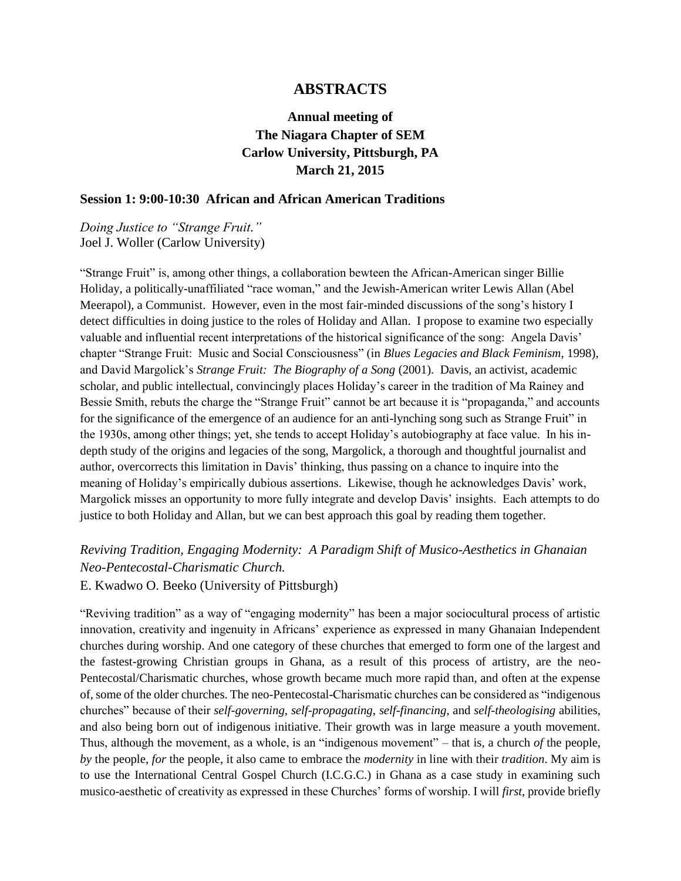# **ABSTRACTS**

# **Annual meeting of The Niagara Chapter of SEM Carlow University, Pittsburgh, PA March 21, 2015**

#### **Session 1: 9:00-10:30 African and African American Traditions**

*Doing Justice to "Strange Fruit."* Joel J. Woller (Carlow University)

"Strange Fruit" is, among other things, a collaboration bewteen the African-American singer Billie Holiday, a politically-unaffiliated "race woman," and the Jewish-American writer Lewis Allan (Abel Meerapol), a Communist. However, even in the most fair-minded discussions of the song's history I detect difficulties in doing justice to the roles of Holiday and Allan. I propose to examine two especially valuable and influential recent interpretations of the historical significance of the song: Angela Davis' chapter "Strange Fruit: Music and Social Consciousness" (in *Blues Legacies and Black Feminism*, 1998), and David Margolick's *Strange Fruit: The Biography of a Song* (2001). Davis, an activist, academic scholar, and public intellectual, convincingly places Holiday's career in the tradition of Ma Rainey and Bessie Smith, rebuts the charge the "Strange Fruit" cannot be art because it is "propaganda," and accounts for the significance of the emergence of an audience for an anti-lynching song such as Strange Fruit" in the 1930s, among other things; yet, she tends to accept Holiday's autobiography at face value. In his indepth study of the origins and legacies of the song, Margolick, a thorough and thoughtful journalist and author, overcorrects this limitation in Davis' thinking, thus passing on a chance to inquire into the meaning of Holiday's empirically dubious assertions. Likewise, though he acknowledges Davis' work, Margolick misses an opportunity to more fully integrate and develop Davis' insights. Each attempts to do justice to both Holiday and Allan, but we can best approach this goal by reading them together.

# *Reviving Tradition, Engaging Modernity: A Paradigm Shift of Musico-Aesthetics in Ghanaian Neo-Pentecostal-Charismatic Church.*

E. Kwadwo O. Beeko (University of Pittsburgh)

"Reviving tradition" as a way of "engaging modernity" has been a major sociocultural process of artistic innovation, creativity and ingenuity in Africans' experience as expressed in many Ghanaian Independent churches during worship. And one category of these churches that emerged to form one of the largest and the fastest-growing Christian groups in Ghana, as a result of this process of artistry, are the neo-Pentecostal/Charismatic churches, whose growth became much more rapid than, and often at the expense of, some of the older churches. The neo-Pentecostal-Charismatic churches can be considered as "indigenous churches" because of their *self-governing*, *self-propagating*, *self-financing*, and *self-theologising* abilities, and also being born out of indigenous initiative. Their growth was in large measure a youth movement. Thus, although the movement, as a whole, is an "indigenous movement" – that is, a church *of* the people, *by* the people, *for* the people, it also came to embrace the *modernity* in line with their *tradition*. My aim is to use the International Central Gospel Church (I.C.G.C.) in Ghana as a case study in examining such musico-aesthetic of creativity as expressed in these Churches' forms of worship. I will *first*, provide briefly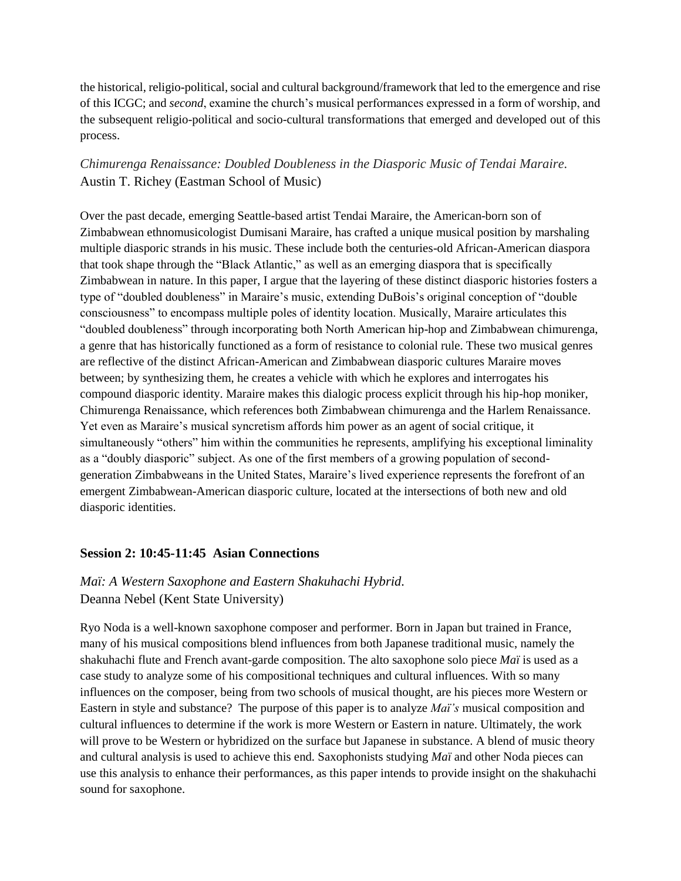the historical, religio-political, social and cultural background/framework that led to the emergence and rise of this ICGC; and *second*, examine the church's musical performances expressed in a form of worship, and the subsequent religio-political and socio-cultural transformations that emerged and developed out of this process.

# *Chimurenga Renaissance: Doubled Doubleness in the Diasporic Music of Tendai Maraire.* Austin T. Richey (Eastman School of Music)

Over the past decade, emerging Seattle-based artist Tendai Maraire, the American-born son of Zimbabwean ethnomusicologist Dumisani Maraire, has crafted a unique musical position by marshaling multiple diasporic strands in his music. These include both the centuries-old African-American diaspora that took shape through the "Black Atlantic," as well as an emerging diaspora that is specifically Zimbabwean in nature. In this paper, I argue that the layering of these distinct diasporic histories fosters a type of "doubled doubleness" in Maraire's music, extending DuBois's original conception of "double consciousness" to encompass multiple poles of identity location. Musically, Maraire articulates this "doubled doubleness" through incorporating both North American hip-hop and Zimbabwean chimurenga, a genre that has historically functioned as a form of resistance to colonial rule. These two musical genres are reflective of the distinct African-American and Zimbabwean diasporic cultures Maraire moves between; by synthesizing them, he creates a vehicle with which he explores and interrogates his compound diasporic identity. Maraire makes this dialogic process explicit through his hip-hop moniker, Chimurenga Renaissance, which references both Zimbabwean chimurenga and the Harlem Renaissance. Yet even as Maraire's musical syncretism affords him power as an agent of social critique, it simultaneously "others" him within the communities he represents, amplifying his exceptional liminality as a "doubly diasporic" subject. As one of the first members of a growing population of secondgeneration Zimbabweans in the United States, Maraire's lived experience represents the forefront of an emergent Zimbabwean-American diasporic culture, located at the intersections of both new and old diasporic identities.

### **Session 2: 10:45-11:45 Asian Connections**

# *Maï: A Western Saxophone and Eastern Shakuhachi Hybrid.* Deanna Nebel (Kent State University)

Ryo Noda is a well-known saxophone composer and performer. Born in Japan but trained in France, many of his musical compositions blend influences from both Japanese traditional music, namely the shakuhachi flute and French avant-garde composition. The alto saxophone solo piece *Maï* is used as a case study to analyze some of his compositional techniques and cultural influences. With so many influences on the composer, being from two schools of musical thought, are his pieces more Western or Eastern in style and substance? The purpose of this paper is to analyze *Maï's* musical composition and cultural influences to determine if the work is more Western or Eastern in nature. Ultimately, the work will prove to be Western or hybridized on the surface but Japanese in substance. A blend of music theory and cultural analysis is used to achieve this end. Saxophonists studying *Maï* and other Noda pieces can use this analysis to enhance their performances, as this paper intends to provide insight on the shakuhachi sound for saxophone.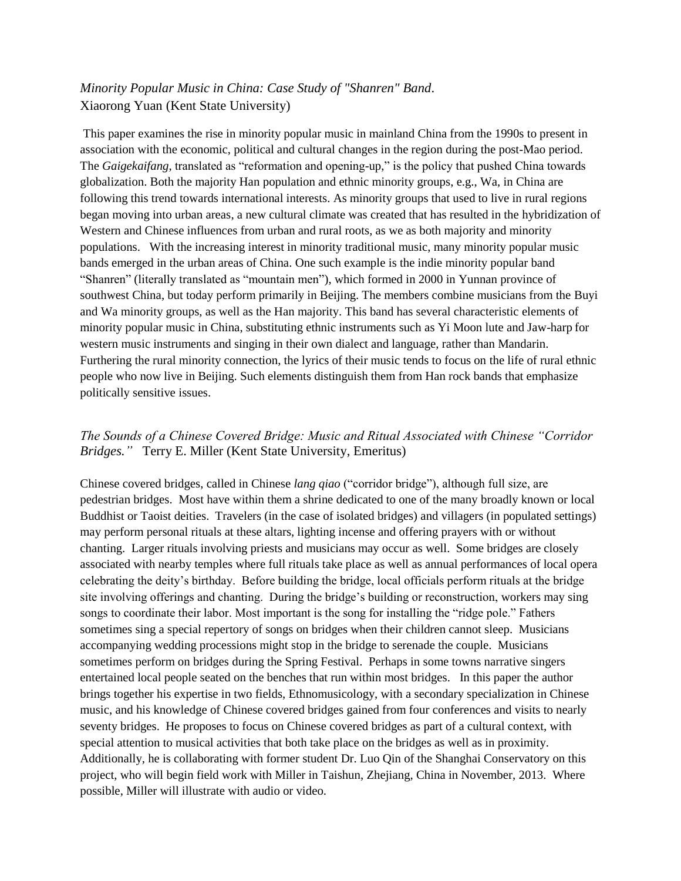# *Minority Popular Music in China: Case Study of "Shanren" Band*. Xiaorong Yuan (Kent State University)

This paper examines the rise in minority popular music in mainland China from the 1990s to present in association with the economic, political and cultural changes in the region during the post-Mao period. The *Gaigekaifang*, translated as "reformation and opening-up," is the policy that pushed China towards globalization. Both the majority Han population and ethnic minority groups, e.g., Wa, in China are following this trend towards international interests. As minority groups that used to live in rural regions began moving into urban areas, a new cultural climate was created that has resulted in the hybridization of Western and Chinese influences from urban and rural roots, as we as both majority and minority populations. With the increasing interest in minority traditional music, many minority popular music bands emerged in the urban areas of China. One such example is the indie minority popular band "Shanren" (literally translated as "mountain men"), which formed in 2000 in Yunnan province of southwest China, but today perform primarily in Beijing. The members combine musicians from the Buyi and Wa minority groups, as well as the Han majority. This band has several characteristic elements of minority popular music in China, substituting ethnic instruments such as Yi Moon lute and Jaw-harp for western music instruments and singing in their own dialect and language, rather than Mandarin. Furthering the rural minority connection, the lyrics of their music tends to focus on the life of rural ethnic people who now live in Beijing. Such elements distinguish them from Han rock bands that emphasize politically sensitive issues.

# *The Sounds of a Chinese Covered Bridge: Music and Ritual Associated with Chinese "Corridor Bridges."* Terry E. Miller (Kent State University, Emeritus)

Chinese covered bridges, called in Chinese *lang qiao* ("corridor bridge"), although full size, are pedestrian bridges. Most have within them a shrine dedicated to one of the many broadly known or local Buddhist or Taoist deities. Travelers (in the case of isolated bridges) and villagers (in populated settings) may perform personal rituals at these altars, lighting incense and offering prayers with or without chanting. Larger rituals involving priests and musicians may occur as well. Some bridges are closely associated with nearby temples where full rituals take place as well as annual performances of local opera celebrating the deity's birthday. Before building the bridge, local officials perform rituals at the bridge site involving offerings and chanting. During the bridge's building or reconstruction, workers may sing songs to coordinate their labor. Most important is the song for installing the "ridge pole." Fathers sometimes sing a special repertory of songs on bridges when their children cannot sleep. Musicians accompanying wedding processions might stop in the bridge to serenade the couple. Musicians sometimes perform on bridges during the Spring Festival. Perhaps in some towns narrative singers entertained local people seated on the benches that run within most bridges. In this paper the author brings together his expertise in two fields, Ethnomusicology, with a secondary specialization in Chinese music, and his knowledge of Chinese covered bridges gained from four conferences and visits to nearly seventy bridges. He proposes to focus on Chinese covered bridges as part of a cultural context, with special attention to musical activities that both take place on the bridges as well as in proximity. Additionally, he is collaborating with former student Dr. Luo Qin of the Shanghai Conservatory on this project, who will begin field work with Miller in Taishun, Zhejiang, China in November, 2013. Where possible, Miller will illustrate with audio or video.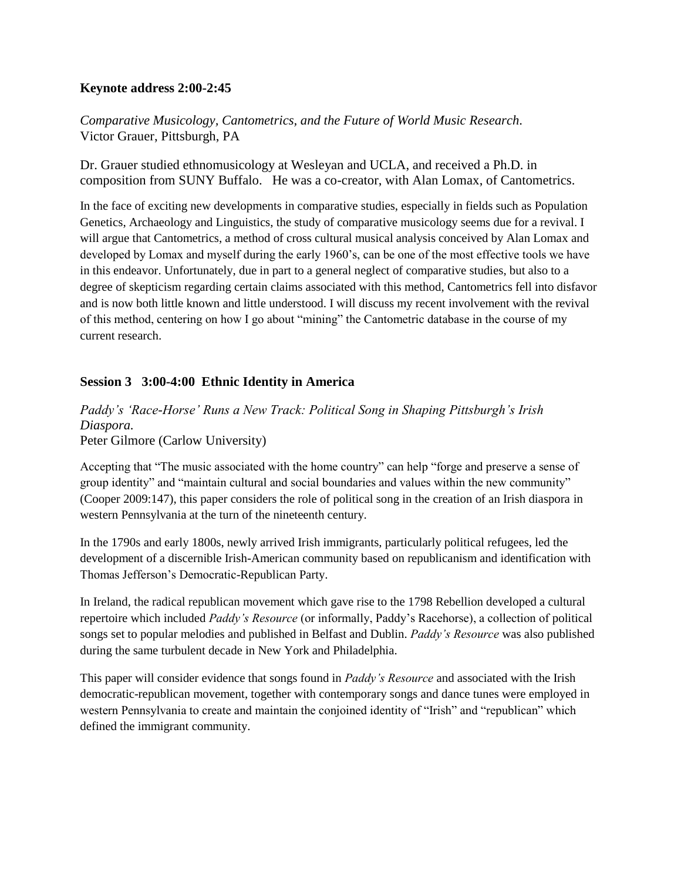# **Keynote address 2:00-2:45**

*Comparative Musicology, Cantometrics, and the Future of World Music Research*. Victor Grauer, Pittsburgh, PA

Dr. Grauer studied ethnomusicology at Wesleyan and UCLA, and received a Ph.D. in composition from SUNY Buffalo. He was a co-creator, with Alan Lomax, of Cantometrics.

In the face of exciting new developments in comparative studies, especially in fields such as Population Genetics, Archaeology and Linguistics, the study of comparative musicology seems due for a revival. I will argue that Cantometrics, a method of cross cultural musical analysis conceived by Alan Lomax and developed by Lomax and myself during the early 1960's, can be one of the most effective tools we have in this endeavor. Unfortunately, due in part to a general neglect of comparative studies, but also to a degree of skepticism regarding certain claims associated with this method, Cantometrics fell into disfavor and is now both little known and little understood. I will discuss my recent involvement with the revival of this method, centering on how I go about "mining" the Cantometric database in the course of my current research.

# **Session 3 3:00-4:00 Ethnic Identity in America**

*Paddy's 'Race-Horse' Runs a New Track: Political Song in Shaping Pittsburgh's Irish Diaspora.* Peter Gilmore (Carlow University)

Accepting that "The music associated with the home country" can help "forge and preserve a sense of group identity" and "maintain cultural and social boundaries and values within the new community" (Cooper 2009:147), this paper considers the role of political song in the creation of an Irish diaspora in western Pennsylvania at the turn of the nineteenth century.

In the 1790s and early 1800s, newly arrived Irish immigrants, particularly political refugees, led the development of a discernible Irish-American community based on republicanism and identification with Thomas Jefferson's Democratic-Republican Party.

In Ireland, the radical republican movement which gave rise to the 1798 Rebellion developed a cultural repertoire which included *Paddy's Resource* (or informally, Paddy's Racehorse), a collection of political songs set to popular melodies and published in Belfast and Dublin. *Paddy's Resource* was also published during the same turbulent decade in New York and Philadelphia.

This paper will consider evidence that songs found in *Paddy's Resource* and associated with the Irish democratic-republican movement, together with contemporary songs and dance tunes were employed in western Pennsylvania to create and maintain the conjoined identity of "Irish" and "republican" which defined the immigrant community.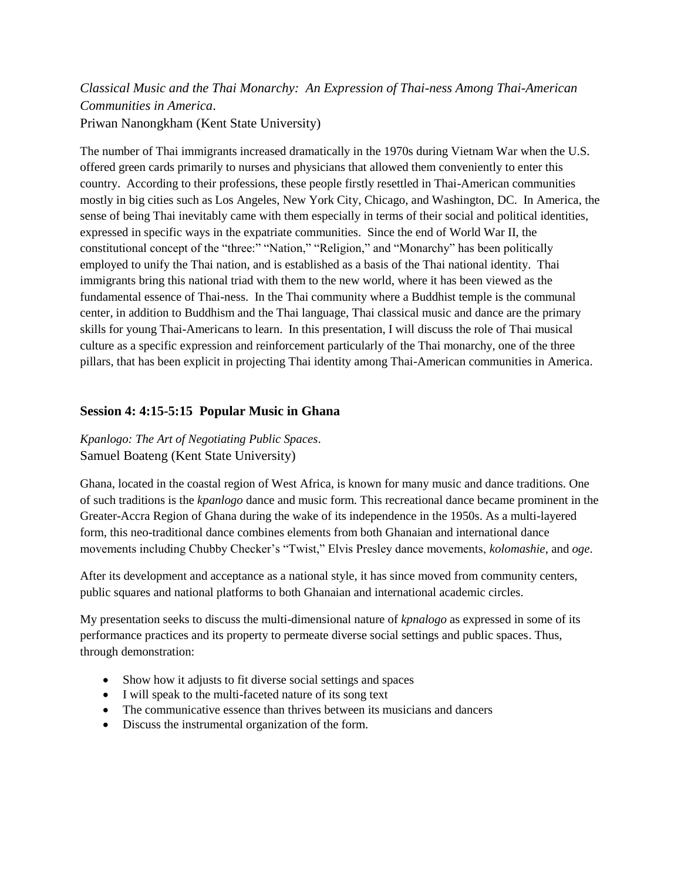# *Classical Music and the Thai Monarchy: An Expression of Thai-ness Among Thai-American Communities in America*. Priwan Nanongkham (Kent State University)

The number of Thai immigrants increased dramatically in the 1970s during Vietnam War when the U.S. offered green cards primarily to nurses and physicians that allowed them conveniently to enter this country. According to their professions, these people firstly resettled in Thai-American communities mostly in big cities such as Los Angeles, New York City, Chicago, and Washington, DC. In America, the sense of being Thai inevitably came with them especially in terms of their social and political identities, expressed in specific ways in the expatriate communities. Since the end of World War II, the constitutional concept of the "three:" "Nation," "Religion," and "Monarchy" has been politically employed to unify the Thai nation, and is established as a basis of the Thai national identity. Thai immigrants bring this national triad with them to the new world, where it has been viewed as the fundamental essence of Thai-ness. In the Thai community where a Buddhist temple is the communal center, in addition to Buddhism and the Thai language, Thai classical music and dance are the primary skills for young Thai-Americans to learn. In this presentation, I will discuss the role of Thai musical culture as a specific expression and reinforcement particularly of the Thai monarchy, one of the three pillars, that has been explicit in projecting Thai identity among Thai-American communities in America.

# **Session 4: 4:15-5:15 Popular Music in Ghana**

*Kpanlogo: The Art of Negotiating Public Spaces*. Samuel Boateng (Kent State University)

Ghana, located in the coastal region of West Africa, is known for many music and dance traditions. One of such traditions is the *kpanlogo* dance and music form. This recreational dance became prominent in the Greater-Accra Region of Ghana during the wake of its independence in the 1950s. As a multi-layered form, this neo-traditional dance combines elements from both Ghanaian and international dance movements including Chubby Checker's "Twist," Elvis Presley dance movements, *kolomashie*, and *oge*.

After its development and acceptance as a national style, it has since moved from community centers, public squares and national platforms to both Ghanaian and international academic circles.

My presentation seeks to discuss the multi-dimensional nature of *kpnalogo* as expressed in some of its performance practices and its property to permeate diverse social settings and public spaces. Thus, through demonstration:

- Show how it adjusts to fit diverse social settings and spaces
- I will speak to the multi-faceted nature of its song text
- The communicative essence than thrives between its musicians and dancers
- Discuss the instrumental organization of the form.